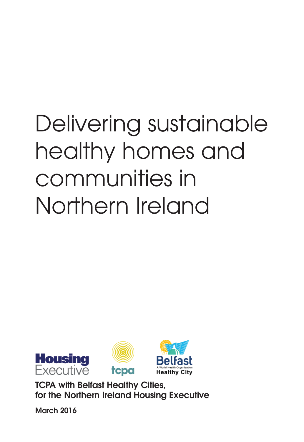# Delivering sustainable healthy homes and communities in Northern Ireland



**TCPA with Belfast Healthy Cities, for the Northern Ireland Housing Executive**

**March 2016**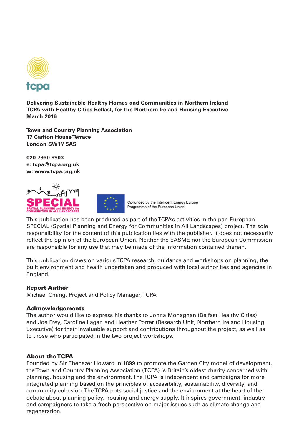

**Delivering Sustainable Healthy Homes and Communities in Northern Ireland TCPA with Healthy Cities Belfast, for the Northern Ireland Housing Executive March 2016**

**Town and Country Planning Association 17 Carlton House Terrace London SW1Y 5AS**

**020 7930 8903 e: tcpa@tcpa.org.uk w: www.tcpa.org.uk**





Co-funded by the Intelligent Energy Europe Programme of the European Union

This publication has been produced as part of the TCPA's activities in the pan-European SPECIAL (Spatial Planning and Energy for Communities in All Landscapes) project. The sole responsibility for the content of this publication lies with the publisher. It does not necessarily reflect the opinion of the European Union. Neither the EASME nor the European Commission are responsible for any use that may be made of the information contained therein.

This publication draws on various TCPA research, guidance and workshops on planning, the built environment and health undertaken and produced with local authorities and agencies in England.

#### **Report Author**

Michael Chang, Project and Policy Manager, TCPA

#### **Acknowledgements**

The author would like to express his thanks to Jonna Monaghan (Belfast Healthy Cities) and Joe Frey, Caroline Lagan and Heather Porter (Research Unit, Northern Ireland Housing Executive) for their invaluable support and contributions throughout the project, as well as to those who participated in the two project workshops.

#### **About the TCPA**

Founded by Sir Ebenezer Howard in 1899 to promote the Garden City model of development, the Town and Country Planning Association (TCPA) is Britain's oldest charity concerned with planning, housing and the environment. The TCPA is independent and campaigns for more integrated planning based on the principles of accessibility, sustainability, diversity, and community cohesion. The TCPA puts social justice and the environment at the heart of the debate about planning policy, housing and energy supply. It inspires government, industry and campaigners to take a fresh perspective on major issues such as climate change and regeneration.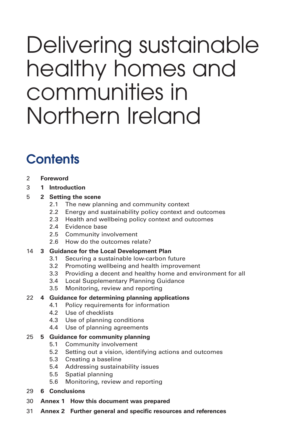## Delivering sustainable healthy homes and communities in Northern Ireland

### **Contents**

- 2 **Foreword**
- 3 **1 Introduction**

#### 5 **2 Setting the scene**

- 2.1 The new planning and community context
- 2.2 Energy and sustainability policy context and outcomes
- 2.3 Health and wellbeing policy context and outcomes
- 2.4 Evidence base
- 2.5 Community involvement
- 2.6 How do the outcomes relate?

#### 14 **3 Guidance for the Local Development Plan**

- 3.1 Securing a sustainable low-carbon future
- 3.2 Promoting wellbeing and health improvement
- 3.3 Providing a decent and healthy home and environment for all
- 3.4 Local Supplementary Planning Guidance
- 3.5 Monitoring, review and reporting

#### 22 **4 Guidance for determining planning applications**

- 4.1 Policy requirements for information
- 4.2 Use of checklists
- 4.3 Use of planning conditions
- 4.4 Use of planning agreements

#### 25 **5 Guidance for community planning**

- 5.1 Community involvement
- 5.2 Setting out a vision, identifying actions and outcomes
- 5.3 Creating a baseline
- 5.4 Addressing sustainability issues
- 5.5 Spatial planning
- 5.6 Monitoring, review and reporting
- 29 **6 Conclusions**
- 30 **Annex 1 How this document was prepared**
- 31 **Annex 2 Further general and specific resources and references**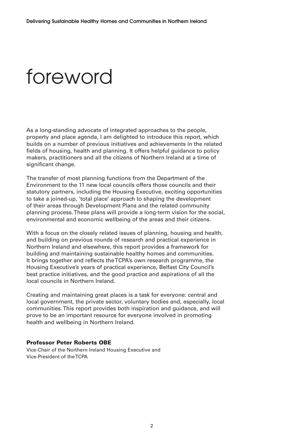### foreword

As a long-standing advocate of integrated approaches to the people, property and place agenda, I am delighted to introduce this report, which builds on a number of previous initiatives and achievements in the related fields of housing, health and planning. It offers helpful guidance to policy makers, practitioners and all the citizens of Northern Ireland at a time of significant change.

The transfer of most planning functions from the Department of the Environment to the 11 new local councils offers those councils and their statutory partners, including the Housing Executive, exciting opportunities to take a joined-up, 'total place' approach to shaping the development of their areas through Development Plans and the related community planning process. These plans will provide a long-term vision for the social, environmental and economic wellbeing of the areas and their citizens.

With a focus on the closely related issues of planning, housing and health, and building on previous rounds of research and practical experience in Northern Ireland and elsewhere, this report provides a framework for building and maintaining sustainable healthy homes and communities. It brings together and reflects the TCPA's own research programme, the Housing Executive's years of practical experience, Belfast City Council's best practice initiatives, and the good practice and aspirations of all the local councils in Northern Ireland.

Creating and maintaining great places is a task for everyone: central and local government, the private sector, voluntary bodies and, especially, local communities. This report provides both inspiration and guidance, and will prove to be an important resource for everyone involved in promoting health and wellbeing in Northern Ireland.

#### **Professor Peter Roberts OBE**

Vice-Chair of the Northern Ireland Housing Executive and Vice-President of the TCPA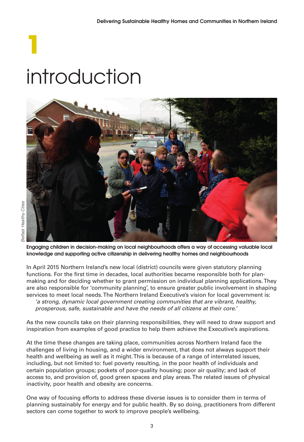# **1** introduction



**Engaging children in decision-making on local neighbourhoods offers a way of accessing valuable local knowledge and supporting active citizenship in delivering healthy homes and neighbourhoods**

In April 2015 Northern Ireland's new local (district) councils were given statutory planning functions. For the first time in decades, local authorities became responsible both for planmaking and for deciding whether to grant permission on individual planning applications. They are also responsible for 'community planning', to ensure greater public involvement in shaping services to meet local needs. The Northern Ireland Executive's vision for local government is: 'a strong, dynamic local government creating communities that are vibrant, healthy,

prosperous, safe, sustainable and have the needs of all citizens at their core.'

As the new councils take on their planning responsibilities, they will need to draw support and inspiration from examples of good practice to help them achieve the Executive's aspirations.

At the time these changes are taking place, communities across Northern Ireland face the challenges of living in housing, and a wider environment, that does not always support their health and wellbeing as well as it might. This is because of a range of interrelated issues, including, but not limited to: fuel poverty resulting, in the poor health of individuals and certain population groups; pockets of poor-quality housing; poor air quality; and lack of access to, and provision of, good green spaces and play areas. The related issues of physical inactivity, poor health and obesity are concerns.

One way of focusing efforts to address these diverse issues is to consider them in terms of planning sustainably for energy and for public health. By so doing, practitioners from different sectors can come together to work to improve people's wellbeing.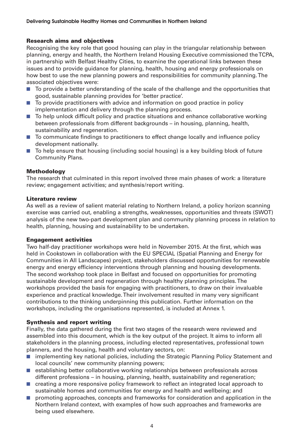#### **Research aims and objectives**

Recognising the key role that good housing can play in the triangular relationship between planning, energy and health, the Northern Ireland Housing Executive commissioned the TCPA, in partnership with Belfast Healthy Cities, to examine the operational links between these issues and to provide guidance for planning, health, housing and energy professionals on how best to use the new planning powers and responsibilities for community planning. The associated objectives were:

- To provide a better understanding of the scale of the challenge and the opportunities that good, sustainable planning provides for 'better practice'.
- To provide practitioners with advice and information on good practice in policy implementation and delivery through the planning process.
- To help unlock difficult policy and practice situations and enhance collaborative working between professionals from different backgrounds – in housing, planning, health, sustainability and regeneration.
- To communicate findings to practitioners to effect change locally and influence policy development nationally.
- To help ensure that housing (including social housing) is a key building block of future Community Plans.

#### **Methodology**

The research that culminated in this report involved three main phases of work: a literature review; engagement activities; and synthesis/report writing.

#### **Literature review**

As well as a review of salient material relating to Northern Ireland, a policy horizon scanning exercise was carried out, enabling a strengths, weaknesses, opportunities and threats (SWOT) analysis of the new two-part development plan and community planning process in relation to health, planning, housing and sustainability to be undertaken.

#### **Engagement activities**

Two half-day practitioner workshops were held in November 2015. At the first, which was held in Cookstown in collaboration with the EU SPECIAL (Spatial Planning and Energy for Communities in All Landscapes) project, stakeholders discussed opportunities for renewable energy and energy efficiency interventions through planning and housing developments. The second workshop took place in Belfast and focused on opportunities for promoting sustainable development and regeneration through healthy planning principles. The workshops provided the basis for engaging with practitioners, to draw on their invaluable experience and practical knowledge. Their involvement resulted in many very significant contributions to the thinking underpinning this publication. Further information on the workshops, including the organisations represented, is included at Annex 1.

#### **Synthesis and report writing**

Finally, the data gathered during the first two stages of the research were reviewed and assembled into this document, which is the key output of the project. It aims to inform all stakeholders in the planning process, including elected representatives, professional town planners, and the housing, health and voluntary sectors, on:

- implementing key national policies, including the Strategic Planning Policy Statement and local councils' new community planning powers;
- establishing better collaborative working relationships between professionals across different professions – in housing, planning, health, sustainability and regeneration;
- creating a more responsive policy framework to reflect an integrated local approach to sustainable homes and communities for energy and health and wellbeing; and
- promoting approaches, concepts and frameworks for consideration and application in the Northern Ireland context, with examples of how such approaches and frameworks are being used elsewhere.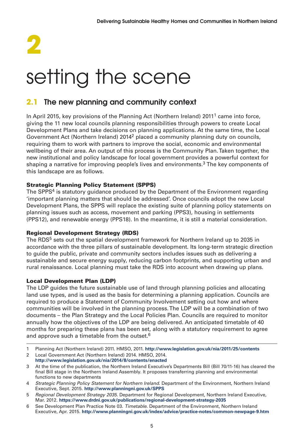# **2** setting the scene

#### **2.1 The new planning and community context**

In April 2015, key provisions of the Planning Act (Northern Ireland) 2011<sup>1</sup> came into force, giving the 11 new local councils planning responsibilities through powers to create Local Development Plans and take decisions on planning applications. At the same time, the Local Government Act (Northern Ireland) 20142 placed a community planning duty on councils, requiring them to work with partners to improve the social, economic and environmental wellbeing of their area. An output of this process is the Community Plan. Taken together, the new institutional and policy landscape for local government provides a powerful context for shaping a narrative for improving people's lives and environments.<sup>3</sup> The key components of this landscape are as follows.

#### **Strategic Planning Policy Statement (SPPS)**

The SPPS<sup>4</sup> is statutory guidance produced by the Department of the Environment regarding 'important planning matters that should be addressed'. Once councils adopt the new Local Development Plans, the SPPS will replace the existing suite of planning policy statements on planning issues such as access, movement and parking (PPS3), housing in settlements (PPS12), and renewable energy (PPS18). In the meantime, it is still a material consideration.

#### **Regional Development Strategy (RDS)**

The RDS<sup>5</sup> sets out the spatial development framework for Northern Ireland up to 2035 in accordance with the three pillars of sustainable development. Its long-term strategic direction to guide the public, private and community sectors includes issues such as delivering a sustainable and secure energy supply, reducing carbon footprints, and supporting urban and rural renaissance. Local planning must take the RDS into account when drawing up plans.

#### **Local Development Plan (LDP)**

The LDP guides the future sustainable use of land through planning policies and allocating land use types, and is used as the basis for determining a planning application. Councils are required to produce a Statement of Community Involvement setting out how and where communities will be involved in the planning process. The LDP will be a combination of two documents – the Plan Strategy and the Local Policies Plan. Councils are required to monitor annually how the objectives of the LDP are being delivered. An anticipated timetable of 40 months for preparing these plans has been set, along with a statutory requirement to agree and approve such a timetable from the outset.<sup>6</sup>

- 1 Planning Act (Northern Ireland) 2011. HMSO, 2011. **http://www.legislation.gov.uk/nia/2011/25/contents**
- 2 Local Government Act (Northern Ireland) 2014. HMSO, 2014. **http://www.legislation.gov.uk/nia/2014/8/contents/enacted**
- 3 At the time of the publication, the Northern Ireland Executive's Departments Bill (Bill 70/11-16) has cleared the final Bill stage in the Northern Ireland Assembly. It proposes transferring planning and environmental functions to new departments
- 4 Strategic Planning Policy Statement for Northern Ireland. Department of the Environment, Northern Ireland Executive, Sept. 2015. **http://www.planningni.gov.uk/SPPS**
- 5 Regional Development Strategy 2035. Department for Regional Development, Northern Ireland Executive, Mar. 2012. **https://www.drdni.gov.uk/publications/regional-development-strategy-2035**
- 6 See Development Plan Practice Note 03. Timetable. Department of the Environment, Northern Ireland Executive, Apr. 2015. **http://www.planningni.gov.uk/index/advice/practice-notes/common-newpage-9.htm**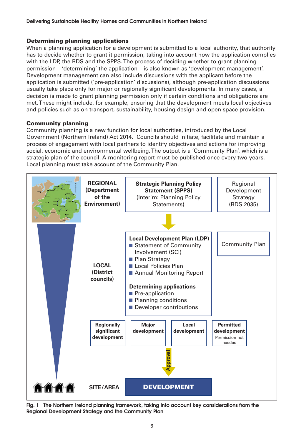#### **Determining planning applications**

When a planning application for a development is submitted to a local authority, that authority has to decide whether to grant it permission, taking into account how the application complies with the LDP, the RDS and the SPPS. The process of deciding whether to grant planning permission – 'determining' the application – is also known as 'development management'. Development management can also include discussions with the applicant before the application is submitted ('pre-application' discussions), although pre-application discussions usually take place only for major or regionally significant developments. In many cases, a decision is made to grant planning permission only if certain conditions and obligations are met. These might include, for example, ensuring that the development meets local objectives and policies such as on transport, sustainability, housing design and open space provision.

#### **Community planning**

Community planning is a new function for local authorities, introduced by the Local Government (Northern Ireland) Act 2014. Councils should initiate, facilitate and maintain a process of engagement with local partners to identify objectives and actions for improving social, economic and environmental wellbeing. The output is a 'Community Plan', which is a strategic plan of the council. A monitoring report must be published once every two years. Local planning must take account of the Community Plan.



**Fig. 1 The Northern Ireland planning framework, taking into account key considerations from the Regional Development Strategy and the Community Plan**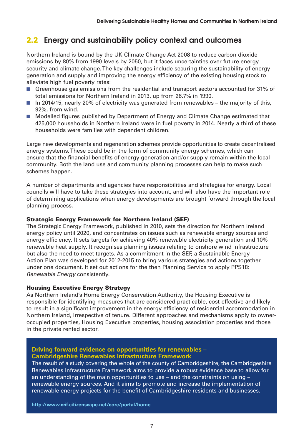#### **2.2 Energy and sustainability policy context and outcomes**

Northern Ireland is bound by the UK Climate Change Act 2008 to reduce carbon dioxide emissions by 80% from 1990 levels by 2050, but it faces uncertainties over future energy security and climate change. The key challenges include securing the sustainability of energy generation and supply and improving the energy efficiency of the existing housing stock to alleviate high fuel poverty rates:

- Greenhouse gas emissions from the residential and transport sectors accounted for 31% of total emissions for Northern Ireland in 2013, up from 26.7% in 1990.
- In 2014/15, nearly 20% of electricity was generated from renewables the majority of this, 92%, from wind.
- Modelled figures published by Department of Energy and Climate Change estimated that 425,000 households in Northern Ireland were in fuel poverty in 2014. Nearly a third of these households were families with dependent children.

Large new developments and regeneration schemes provide opportunities to create decentralised energy systems. These could be in the form of community energy schemes, which can ensure that the financial benefits of energy generation and/or supply remain within the local community. Both the land use and community planning processes can help to make such schemes happen.

A number of departments and agencies have responsibilities and strategies for energy. Local councils will have to take these strategies into account, and will also have the important role of determining applications when energy developments are brought forward through the local planning process.

#### **Strategic Energy Framework for Northern Ireland (SEF)**

The Strategic Energy Framework, published in 2010, sets the direction for Northern Ireland energy policy until 2020, and concentrates on issues such as renewable energy sources and energy efficiency. It sets targets for achieving 40% renewable electricity generation and 10% renewable heat supply. It recognises planning issues relating to onshore wind infrastructure but also the need to meet targets. As a commitment in the SEF, a Sustainable Energy Action Plan was developed for 2012-2015 to bring various strategies and actions together under one document. It set out actions for the then Planning Service to apply PPS18: Renewable Energy consistently.

#### **Housing Executive Energy Strategy**

As Northern Ireland's Home Energy Conservation Authority, the Housing Executive is responsible for identifying measures that are considered practicable, cost-effective and likely to result in a significant improvement in the energy efficiency of residential accommodation in Northern Ireland, irrespective of tenure. Different approaches and mechanisms apply to owneroccupied properties, Housing Executive properties, housing association properties and those in the private rented sector.

#### **Driving forward evidence on opportunities for renewables – Cambridgeshire Renewables Infrastructure Framework**

The result of a study covering the whole of the county of Cambridgeshire, the Cambridgeshire Renewables Infrastructure Framework aims to provide a robust evidence base to allow for an understanding of the main opportunities to use – and the constraints on using – renewable energy sources. And it aims to promote and increase the implementation of renewable energy projects for the benefit of Cambridgeshire residents and businesses.

**http://www.crif.citizenscape.net/core/portal/home**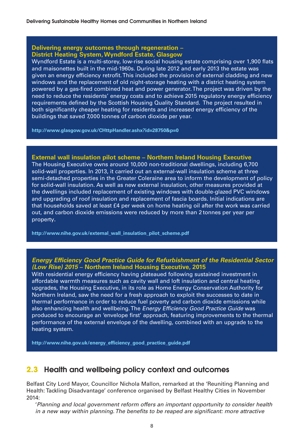#### **Delivering energy outcomes through regeneration – District Heating System, Wyndford Estate, Glasgow**

Wyndford Estate is a multi-storey, low-rise social housing estate comprising over 1,900 flats and maisonettes built in the mid-1960s. During late 2012 and early 2013 the estate was given an energy efficiency retrofit. This included the provision of external cladding and new windows and the replacement of old night-storage heating with a district heating system powered by a gas-fired combined heat and power generator. The project was driven by the need to reduce the residents' energy costs and to achieve 2015 regulatory energy efficiency requirements defined by the Scottish Housing Quality Standard. The project resulted in both significantly cheaper heating for residents and increased energy efficiency of the buildings that saved 7,000 tonnes of carbon dioxide per year.

**http://www.glasgow.gov.uk/CHttpHandler.ashx?id=28750&p=0** 

#### **External wall insulation pilot scheme – Northern Ireland Housing Executive**

The Housing Executive owns around 10,000 non-traditional dwellings, including 6,700 solid-wall properties. In 2013, it carried out an external-wall insulation scheme at three semi-detached properties in the Greater Coleraine area to inform the development of policy for solid-wall insulation. As well as new external insulation, other measures provided at the dwellings included replacement of existing windows with double-glazed PVC windows and upgrading of roof insulation and replacement of fascia boards. Initial indications are that households saved at least £4 per week on home heating oil after the work was carried out, and carbon dioxide emissions were reduced by more than 2 tonnes per year per property**.**

**http://www.nihe.gov.uk/external\_wall\_insulation\_pilot\_scheme.pdf** 

#### **Energy Efficiency Good Practice Guide for Refurbishment of the Residential Sector (Low Rise) 2015 – Northern Ireland Housing Executive, 2015**

With residential energy efficiency having plateaued following sustained investment in affordable warmth measures such as cavity wall and loft insulation and central heating upgrades, the Housing Executive, in its role as Home Energy Conservation Authority for Northern Ireland, saw the need for a fresh approach to exploit the successes to date in thermal performance in order to reduce fuel poverty and carbon dioxide emissions while also enhancing health and wellbeing. The Energy Efficiency Good Practice Guide was produced to encourage an 'envelope first' approach, featuring improvements to the thermal performance of the external envelope of the dwelling, combined with an upgrade to the heating system.

**http://www.nihe.gov.uk/energy\_efficiency\_good\_practice\_guide.pdf**

#### **2.3 Health and wellbeing policy context and outcomes**

Belfast City Lord Mayor, Councillor Nichola Mallon, remarked at the 'Reuniting Planning and Health: Tackling Disadvantage' conference organised by Belfast Healthy Cities in November 2014:

'Planning and local government reform offers an important opportunity to consider health in a new way within planning. The benefits to be reaped are significant: more attractive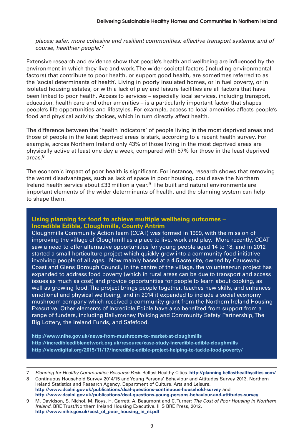places; safer, more cohesive and resilient communities; effective transport systems; and of course, healthier people.'<sup>7</sup>

Extensive research and evidence show that people's health and wellbeing are influenced by the environment in which they live and work. The wider societal factors (including environmental factors) that contribute to poor health, or support good health, are sometimes referred to as the 'social determinants of health'. Living in poorly insulated homes, or in fuel poverty, or in isolated housing estates, or with a lack of play and leisure facilities are all factors that have been linked to poor health. Access to services – especially local services, including transport, education, health care and other amenities – is a particularly important factor that shapes people's life opportunities and lifestyles. For example, access to local amenities affects people's food and physical activity choices, which in turn directly affect health.

The difference between the 'health indicators' of people living in the most deprived areas and those of people in the least deprived areas is stark, according to a recent health survey. For example, across Northern Ireland only 43% of those living in the most deprived areas are physically active at least one day a week, compared with 57% for those in the least deprived areas.8

The economic impact of poor health is significant. For instance, research shows that removing the worst disadvantages, such as lack of space in poor housing, could save the Northern Ireland health service about  $£33$  million a year.<sup>9</sup> The built and natural environments are important elements of the wider determinants of health, and the planning system can help to shape them.

#### **Using planning for food to achieve multiple wellbeing outcomes – Incredible Edible, Cloughmills, County Antrim**

Cloughmills Community Action Team (CCAT) was formed in 1999, with the mission of improving the village of Cloughmill as a place to live, work and play. More recently, CCAT saw a need to offer alternative opportunities for young people aged 14 to 18, and in 2012 started a small horticulture project which quickly grew into a community food initiative involving people of all ages. Now mainly based at a 4.5 acre site, owned by Causeway Coast and Glens Borough Council, in the centre of the village, the volunteer-run project has expanded to address food poverty (which in rural areas can be due to transport and access issues as much as cost) and provide opportunities for people to learn about cooking, as well as growing food. The project brings people together, teaches new skills, and enhances emotional and physical wellbeing, and in 2014 it expanded to include a social economy mushroom company which received a community grant from the Northern Ireland Housing Executive. Other elements of Incredible Edible have also benefited from support from a range of funders, including Ballymoney Policing and Community Safety Partnership, The Big Lottery, the Ireland Funds, and Safefood.

**http://www.nihe.gov.uk/news-from-mushroom-to-market-at-cloughmills http://incredibleediblenetwork.org.uk/resource/case-study-incredible-edible-cloughmills http://viewdigital.org/2015/11/17/incredible-edible-project-helping-to-tackle-food-poverty/**

8 Continuous Household Survey 2014/15 and Young Persons' Behaviour and Attitudes Survey 2013. Northern Ireland Statistics and Research Agency. Department of Culture, Arts and Leisure. **http://www.dcalni.gov.uk/publications/dcal-questions-continuous-household-survey** and **http://www.dcalni.gov.uk/publications/dcal-questions-young-persons-behaviour-and-attitudes-survey**

9 M. Davidson, S. Nichol, M. Roys, H. Garrett, A. Beaumont and C. Turner: The Cost of Poor Housing in Northern Ireland. BRE Trust/Northern Ireland Housing Executive. IHS BRE Press, 2012. **http://www.nihe.gov.uk/cost\_of\_poor\_housing\_in\_ni.pdf**

<sup>7</sup> Planning for Healthy Communities Resource Pack. Belfast Healthy Cities. **http://planning.belfasthealthycities.com/**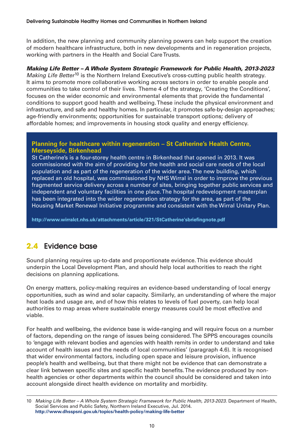In addition, the new planning and community planning powers can help support the creation of modern healthcare infrastructure, both in new developments and in regeneration projects, working with partners in the Health and Social Care Trusts.

#### **Making Life Better – A Whole System Strategic Framework for Public Health, 2013-2023**

Making Life Better<sup>10</sup> is the Northern Ireland Executive's cross-cutting public health strategy. It aims to promote more collaborative working across sectors in order to enable people and communities to take control of their lives. Theme 4 of the strategy, 'Creating the Conditions', focuses on the wider economic and environmental elements that provide the fundamental conditions to support good health and wellbeing. These include the physical environment and infrastructure, and safe and healthy homes. In particular, it promotes safe-by-design approaches; age-friendly environments; opportunities for sustainable transport options; delivery of affordable homes; and improvements in housing stock quality and energy efficiency.

#### **Planning for healthcare within regeneration – St Catherine's Health Centre, Merseyside, Birkenhead**

St Catherine's is a four-storey health centre in Birkenhead that opened in 2013. It was commissioned with the aim of providing for the health and social care needs of the local population and as part of the regeneration of the wider area. The new building, which replaced an old hospital, was commissioned by NHS Wirral in order to improve the previous fragmented service delivery across a number of sites, bringing together public services and independent and voluntary facilities in one place. The hospital redevelopment masterplan has been integrated into the wider regeneration strategy for the area, as part of the Housing Market Renewal Initiative programme and consistent with the Wirral Unitary Plan.

**http://www.wirralct.nhs.uk/attachments/article/321/StCatherine'sbriefingnote.pdf**

#### **2.4 Evidence base**

Sound planning requires up-to-date and proportionate evidence. This evidence should underpin the Local Development Plan, and should help local authorities to reach the right decisions on planning applications.

On energy matters, policy-making requires an evidence-based understanding of local energy opportunities, such as wind and solar capacity. Similarly, an understanding of where the major heat loads and usage are, and of how this relates to levels of fuel poverty, can help local authorities to map areas where sustainable energy measures could be most effective and viable.

For health and wellbeing, the evidence base is wide-ranging and will require focus on a number of factors, depending on the range of issues being considered. The SPPS encourages councils to 'engage with relevant bodies and agencies with health remits in order to understand and take account of health issues and the needs of local communities' (paragraph 4.6). It is recognised that wider environmental factors, including open space and leisure provision, influence people's health and wellbeing, but that there might not be evidence that can demonstrate a clear link between specific sites and specific health benefits. The evidence produced by nonhealth agencies or other departments within the council should be considered and taken into account alongside direct health evidence on mortality and morbidity.

<sup>10</sup> Making Life Better – A Whole System Strategic Framework for Public Health, 2013-2023. Department of Health, Social Services and Public Safety, Northern Ireland Executive, Jul. 2014. **http://www.dhsspsni.gov.uk/topics/health-policy/making-life-better**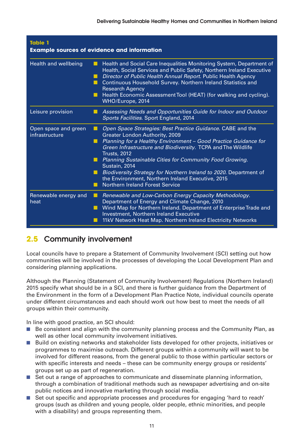| Table 1<br><b>Example sources of evidence and information</b> |                                                                                                                                                                                                                                                                                                                                                                                                                                                                                                                        |  |  |
|---------------------------------------------------------------|------------------------------------------------------------------------------------------------------------------------------------------------------------------------------------------------------------------------------------------------------------------------------------------------------------------------------------------------------------------------------------------------------------------------------------------------------------------------------------------------------------------------|--|--|
| Health and wellbeing                                          | Health and Social Care Inequalities Monitoring System, Department of<br>ш<br>Health, Social Services and Public Safety, Northern Ireland Executive<br>Director of Public Health Annual Report. Public Health Agency<br>ш<br>Continuous Household Survey. Northern Ireland Statistics and<br><b>Research Agency</b><br>Health Economic Assessment Tool (HEAT) (for walking and cycling).<br>ш<br>WHO/Europe, 2014                                                                                                       |  |  |
| Leisure provision                                             | Assessing Needs and Opportunities Guide for Indoor and Outdoor<br>ш<br>Sports Facilities. Sport England, 2014                                                                                                                                                                                                                                                                                                                                                                                                          |  |  |
| Open space and green<br>infrastructure                        | Open Space Strategies: Best Practice Guidance. CABE and the<br>ш<br>Greater London Authority, 2009<br>Planning for a Healthy Environment - Good Practice Guidance for<br>ш<br>Green Infrastructure and Biodiversity. TCPA and The Wildlife<br><b>Trusts, 2012</b><br>Planning Sustainable Cities for Community Food Growing.<br>Sustain, 2014<br>Biodiversity Strategy for Northern Ireland to 2020. Department of<br>the Environment, Northern Ireland Executive, 2015<br><b>Northern Ireland Forest Service</b><br>ш |  |  |
| Renewable energy and<br>heat                                  | Renewable and Low-Carbon Energy Capacity Methodology.<br>ш<br>Department of Energy and Climate Change, 2010<br>Wind Map for Northern Ireland. Department of Enterprise Trade and<br>ш<br>Investment, Northern Ireland Executive<br>11kV Network Heat Map. Northern Ireland Electricity Networks                                                                                                                                                                                                                        |  |  |

#### **2.5 Community involvement**

Local councils have to prepare a Statement of Community Involvement (SCI) setting out how communities will be involved in the processes of developing the Local Development Plan and considering planning applications.

Although the Planning (Statement of Community Involvement) Regulations (Northern Ireland) 2015 specify what should be in a SCI, and there is further guidance from the Department of the Environment in the form of a Development Plan Practice Note, individual councils operate under different circumstances and each should work out how best to meet the needs of all groups within their community.

In line with good practice, an SCI should:

- Be consistent and align with the community planning process and the Community Plan, as well as other local community involvement initiatives.
- Build on existing networks and stakeholder lists developed for other projects, initiatives or programmes to maximise outreach. Different groups within a community will want to be involved for different reasons, from the general public to those within particular sectors or with specific interests and needs – these can be community energy groups or residents' groups set up as part of regeneration.
- Set out a range of approaches to communicate and disseminate planning information, through a combination of traditional methods such as newspaper advertising and on-site public notices and innovative marketing through social media.
- Set out specific and appropriate processes and procedures for engaging 'hard to reach' groups (such as children and young people, older people, ethnic minorities, and people with a disability) and groups representing them.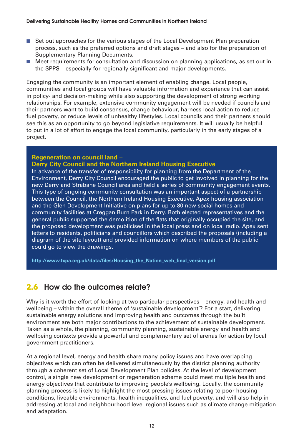- Set out approaches for the various stages of the Local Development Plan preparation process, such as the preferred options and draft stages – and also for the preparation of Supplementary Planning Documents.
- Meet requirements for consultation and discussion on planning applications, as set out in the SPPS – especially for regionally significant and major developments.

Engaging the community is an important element of enabling change. Local people, communities and local groups will have valuable information and experience that can assist in policy- and decision-making while also supporting the development of strong working relationships. For example, extensive community engagement will be needed if councils and their partners want to build consensus, change behaviour, harness local action to reduce fuel poverty, or reduce levels of unhealthy lifestyles. Local councils and their partners should see this as an opportunity to go beyond legislative requirements. It will usually be helpful to put in a lot of effort to engage the local community, particularly in the early stages of a project.

#### **Regeneration on council land –**

#### **Derry City Council and the Northern Ireland Housing Executive**

In advance of the transfer of responsibility for planning from the Department of the Environment, Derry City Council encouraged the public to get involved in planning for the new Derry and Strabane Council area and held a series of community engagement events. This type of ongoing community consultation was an important aspect of a partnership between the Council, the Northern Ireland Housing Executive, Apex housing association and the Glen Development Initiative on plans for up to 80 new social homes and community facilities at Creggan Burn Park in Derry. Both elected representatives and the general public supported the demolition of the flats that originally occupied the site, and the proposed development was publicised in the local press and on local radio. Apex sent letters to residents, politicians and councillors which described the proposals (including a diagram of the site layout) and provided information on where members of the public could go to view the drawings.

**http://www.tcpa.org.uk/data/files/Housing\_the\_Nation\_web\_final\_version.pdf**

#### **2.6 How do the outcomes relate?**

Why is it worth the effort of looking at two particular perspectives – energy, and health and wellbeing – within the overall theme of 'sustainable development'? For a start, delivering sustainable energy solutions and improving health and outcomes through the built environment are both major contributions to the achievement of sustainable development. Taken as a whole, the planning, community planning, sustainable energy and health and wellbeing contexts provide a powerful and complementary set of arenas for action by local government practitioners.

At a regional level, energy and health share many policy issues and have overlapping objectives which can often be delivered simultaneously by the district planning authority through a coherent set of Local Development Plan policies. At the level of development control, a single new development or regeneration scheme could meet multiple health and energy objectives that contribute to improving people's wellbeing. Locally, the community planning process is likely to highlight the most pressing issues relating to poor housing conditions, liveable environments, health inequalities, and fuel poverty, and will also help in addressing at local and neighbourhood level regional issues such as climate change mitigation and adaptation.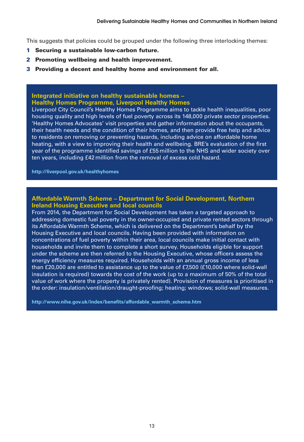This suggests that policies could be grouped under the following three interlocking themes:

- **1 Securing a sustainable low-carbon future.**
- **2 Promoting wellbeing and health improvement.**
- **3 Providing a decent and healthy home and environment for all.**

#### **Integrated initiative on healthy sustainable homes – Healthy Homes Programme, Liverpool Healthy Homes**

Liverpool City Council's Healthy Homes Programme aims to tackle health inequalities, poor housing quality and high levels of fuel poverty across its 148,000 private sector properties. 'Healthy Homes Advocates' visit properties and gather information about the occupants, their health needs and the condition of their homes, and then provide free help and advice to residents on removing or preventing hazards, including advice on affordable home heating, with a view to improving their health and wellbeing. BRE's evaluation of the first year of the programme identified savings of £55 million to the NHS and wider society over ten years, including £42 million from the removal of excess cold hazard.

**http://liverpool.gov.uk/healthyhomes**

#### **Affordable Warmth Scheme – Department for Social Development, Northern Ireland Housing Executive and local councils**

From 2014, the Department for Social Development has taken a targeted approach to addressing domestic fuel poverty in the owner-occupied and private rented sectors through its Affordable Warmth Scheme, which is delivered on the Department's behalf by the Housing Executive and local councils. Having been provided with information on concentrations of fuel poverty within their area, local councils make initial contact with households and invite them to complete a short survey. Households eligible for support under the scheme are then referred to the Housing Executive, whose officers assess the energy efficiency measures required. Households with an annual gross income of less than £20,000 are entitled to assistance up to the value of £7,500 (£10,000 where solid-wall insulation is required) towards the cost of the work (up to a maximum of 50% of the total value of work where the property is privately rented). Provision of measures is prioritised in the order: insulation/ventilation/draught-proofing; heating; windows; solid-wall measures.

**http://www.nihe.gov.uk/index/benefits/affordable\_warmth\_scheme.htm**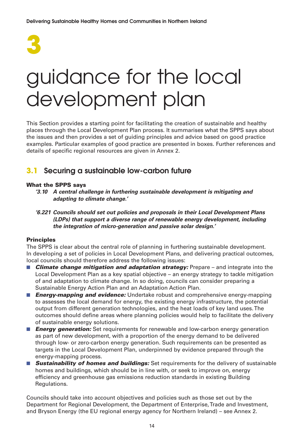

### guidance for the local development plan

This Section provides a starting point for facilitating the creation of sustainable and healthy places through the Local Development Plan process. It summarises what the SPPS says about the issues and then provides a set of guiding principles and advice based on good practice examples. Particular examples of good practice are presented in boxes. Further references and details of specific regional resources are given in Annex 2.

#### **3.1 Securing a sustainable low-carbon future**

#### **What the SPPS says**

- **'3.10 A central challenge in furthering sustainable development is mitigating and adapting to climate change.'**
- **'6.221 Councils should set out policies and proposals in their Local Development Plans (LDPs) that support a diverse range of renewable energy development, including the integration of micro-generation and passive solar design.'**

#### **Principles**

The SPPS is clear about the central role of planning in furthering sustainable development. In developing a set of policies in Local Development Plans, and delivering practical outcomes, local councils should therefore address the following issues:

- **Climate change mitigation and adaptation strategy:** Prepare and integrate into the Local Development Plan as a key spatial objective – an energy strategy to tackle mitigation of and adaptation to climate change. In so doing, councils can consider preparing a Sustainable Energy Action Plan and an Adaptation Action Plan.
- *Energy-mapping and evidence:* Undertake robust and comprehensive energy-mapping to assesses the local demand for energy, the existing energy infrastructure, the potential output from different generation technologies, and the heat loads of key land uses. The outcomes should define areas where planning policies would help to facilitate the delivery of sustainable energy solutions.
- **Energy generation:** Set requirements for renewable and low-carbon energy generation as part of new development, with a proportion of the energy demand to be delivered through low- or zero-carbon energy generation. Such requirements can be presented as targets in the Local Development Plan, underpinned by evidence prepared through the energy-mapping process.
- **Sustainability of homes and buildings:** Set requirements for the delivery of sustainable homes and buildings, which should be in line with, or seek to improve on, energy efficiency and greenhouse gas emissions reduction standards in existing Building Regulations.

Councils should take into account objectives and policies such as those set out by the Department for Regional Development, the Department of Enterprise, Trade and Investment, and Bryson Energy (the EU regional energy agency for Northern Ireland) – see Annex 2.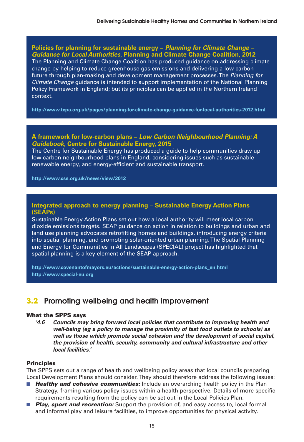#### **Policies for planning for sustainable energy – Planning for Climate Change – Guidance for Local Authorities, Planning and Climate Change Coalition, 2012**

The Planning and Climate Change Coalition has produced guidance on addressing climate change by helping to reduce greenhouse gas emissions and delivering a low-carbon future through plan-making and development management processes. The Planning for Climate Change guidance is intended to support implementation of the National Planning Policy Framework in England; but its principles can be applied in the Northern Ireland context.

**http://www.tcpa.org.uk/pages/planning-for-climate-change-guidance-for-local-authorities-2012.html**

#### **A framework for low-carbon plans – Low Carbon Neighbourhood Planning: A Guidebook, Centre for Sustainable Energy, 2015**

The Centre for Sustainable Energy has produced a guide to help communities draw up low-carbon neighbourhood plans in England, considering issues such as sustainable renewable energy, and energy-efficient and sustainable transport.

**http://www.cse.org.uk/news/view/2012**

#### **Integrated approach to energy planning – Sustainable Energy Action Plans (SEAPs)**

Sustainable Energy Action Plans set out how a local authority will meet local carbon dioxide emissions targets. SEAP guidance on action in relation to buildings and urban and land use planning advocates retrofitting homes and buildings, introducing energy criteria into spatial planning, and promoting solar-oriented urban planning. The Spatial Planning and Energy for Communities in All Landscapes (SPECIAL) project has highlighted that spatial planning is a key element of the SEAP approach.

**http://www.covenantofmayors.eu/actions/sustainable-energy-action-plans\_en.html http://www.special-eu.org**

#### **3.2 Promoting wellbeing and health improvement**

#### **What the SPPS says**

**'4.6 Councils may bring forward local policies that contribute to improving health and well-being (eg a policy to manage the proximity of fast food outlets to schools) as well as those which promote social cohesion and the development of social capital, the provision of health, security, community and cultural infrastructure and other local facilities.'**

#### **Principles**

The SPPS sets out a range of health and wellbeing policy areas that local councils preparing Local Development Plans should consider. They should therefore address the following issues:

- **Healthy and cohesive communities:** Include an overarching health policy in the Plan Strategy, framing various policy issues within a health perspective. Details of more specific requirements resulting from the policy can be set out in the Local Policies Plan.
- *Play, sport and recreation:* Support the provision of, and easy access to, local formal and informal play and leisure facilities, to improve opportunities for physical activity.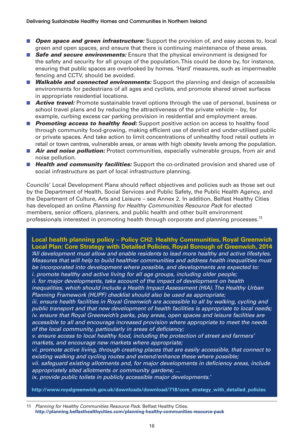- **Open space and green infrastructure:** Support the provision of, and easy access to, local green and open spaces, and ensure that there is continuing maintenance of these areas.
- **Safe and secure environments:** Ensure that the physical environment is designed for the safety and security for all groups of the population. This could be done by, for instance, ensuring that public spaces are overlooked by homes. 'Hard' measures, such as impermeable fencing and CCTV, should be avoided.
- *Walkable and connected environments:* **Support the planning and design of accessible** environments for pedestrians of all ages and cyclists, and promote shared street surfaces in appropriate residential locations.
- **Active travel:** Promote sustainable travel options through the use of personal, business or school travel plans and by reducing the attractiveness of the private vehicle – by, for example, curbing excess car parking provision in residential and employment areas.
- **Promoting access to healthy food:** Support positive action on access to healthy food through community food-growing, making efficient use of derelict and under-utilised public or private spaces. And take action to limit concentrations of unhealthy food retail outlets in retail or town centres, vulnerable areas, or areas with high obesity levels among the population.
- **Air and noise pollution:** Protect communities, especially vulnerable groups, from air and noise pollution.
- **Health and community facilities:** Support the co-ordinated provision and shared use of social infrastructure as part of local infrastructure planning.

Councils' Local Development Plans should reflect objectives and policies such as those set out by the Department of Health, Social Services and Public Safety, the Public Health Agency, and the Department of Culture, Arts and Leisure – see Annex 2. In addition, Belfast Healthy Cities has developed an online Planning for Healthy Communities Resource Pack for elected members, senior officers, planners, and public health and other built environment professionals interested in promoting health through corporate and planning processes.<sup>11</sup>

**Local health planning policy – Policy CH2: Healthy Communities, Royal Greenwich Local Plan: Core Strategy with Detailed Policies, Royal Borough of Greenwich, 2014** 'All development must allow and enable residents to lead more healthy and active lifestyles. Measures that will help to build healthier communities and address health inequalities must be incorporated into development where possible, and developments are expected to: i. promote healthy and active living for all age groups, including older people; ii. for major developments, take account of the impact of development on health inequalities, which should include a Health Impact Assessment (HIA). The Healthy Urban Planning Framework (HUPF) checklist should also be used as appropriate; iii. ensure health facilities in Royal Greenwich are accessible to all by walking, cycling and public transport and that new development of health facilities is appropriate to local needs; iv. ensure that Royal Greenwich's parks, play areas, open spaces and leisure facilities are accessible to all and encourage increased provision where appropriate to meet the needs

of the local community, particularly in areas of deficiency;

v. ensure access to local healthy food, including the protection of street and farmers' markets, and encourage new markets where appropriate;

vi. promote active living, through creating places that are easily accessible, that connect to existing walking and cycling routes and extend/enhance these where possible;

vii. safeguard existing allotments and, for major developments in deficiency areas, include appropriately sited allotments or community gardens; ...

ix. provide public toilets in publicly accessible major developments.'

**http://www.royalgreenwich.gov.uk/downloads/download/718/core\_strategy\_with\_detailed\_policies**

11 Planning for Healthy Communities Resource Pack. Belfast Healthy Cities. **http://planning.belfasthealthycities.com/planning-healthy-communities-resource-pack**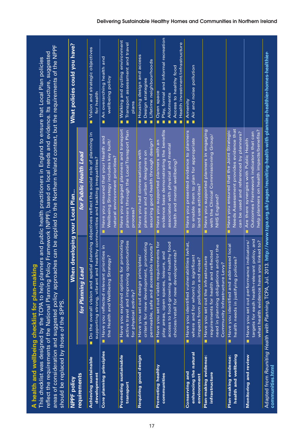| NPPF policy                                            |                                                                                                                                                                                 | When developing your Local Plan                                                                                                                        | What policies could you have?                                                                                                                           |
|--------------------------------------------------------|---------------------------------------------------------------------------------------------------------------------------------------------------------------------------------|--------------------------------------------------------------------------------------------------------------------------------------------------------|---------------------------------------------------------------------------------------------------------------------------------------------------------|
| requirements                                           | for Planning Lead                                                                                                                                                               | for Public Health Lead                                                                                                                                 |                                                                                                                                                         |
| <b>Achieving sustainable</b><br>development            | ■ Do the overall vision and spatial planning objectives reflect the social role of planning in<br>supporting strong, vibrant and healthy communities and tackling inequalities? |                                                                                                                                                        | Vision and strategic objectives<br>for health                                                                                                           |
| Core planning principles                               | Have you reflected relevant priorities in<br>and Wellbeing Strategy?<br>the Health a                                                                                            | Have you ensured that your Health and<br>Wellbeing Strategy includes key built/<br>natural environment priorities?                                     | An overarching health and<br>wellbeing policy                                                                                                           |
| Promoting sustainable<br>transport                     | Have you explored options for promoting<br>active travel and improving opportunities<br>activity?<br>for physical                                                               | Have you engaged planners and transport<br>planners through the Local Transport Plan<br>process?                                                       | <b>Nalking and cycling environment</b><br>Transport assessment and travel<br>plans                                                                      |
| Requiring good design                                  | new development, promoting<br>permeable, safe and accessible layouts?<br>Have you set out design principles<br>criteria for<br>Ľ                                                | securing good health through design?<br>Have you had conversations with<br>planners and urban designers on                                             | Housing design and access<br>Lifetime neighbourhoods<br>Design strategies<br><b>D</b><br>п<br>п                                                         |
| Promoting healthy<br>communities                       | Have you set out viable requirements for<br>access to food-growing and healthy food<br>choices/retail for new developments?<br>open spaces, leisure, and<br>play areas,         | evidence base demonstrating the benefits<br>Have you supported planners with an<br>associated with physical and mental<br>health and mental wellbeing? | Play, formal and informal recreation<br>Health investment/infrastructure<br>Access to healthy food<br>Open space<br>Allotments<br>п<br>п<br>п<br>п<br>п |
| enhancing the natural<br>Conserving and<br>environment | Have you identified vulnerabilities (what,<br>for whom) to significant<br>impacts from pollution and noise?<br>where and                                                        | Have you presented evidence to planners<br>to enable them to plan for appropriate<br>land use activities?                                              | Air and noise pollution<br>Amenity<br>Ė<br>п                                                                                                            |
| Plan-making evidence:<br>infrastructure                | need in planning obligations and/or the<br>its for health and reflected<br>Have you set out the infrastructure<br>Community Infrastructure Levy?<br>requiremen                  | Have you supported planners in engaging<br>with the Clinical Commissioning Group/<br>NHS England?                                                      |                                                                                                                                                         |
| health and wellbeing<br>Plan-making evidence:          | Have you identified and addressed local<br>health needs in justifying policies?                                                                                                 | Needs Assessment provides evidence that<br>Have you ensured that the Joint Strategic<br>can be used and referenced by planners?                        |                                                                                                                                                         |
| Monitoring and review                                  | targets for each health-relevant policy, and<br>what health evidence have you linked to?<br>Have you set out performance indicators/                                            | help planners on health impacts/benefits?<br>Outcomes Framework indicators that can<br>Are there synergies with Public Health                          |                                                                                                                                                         |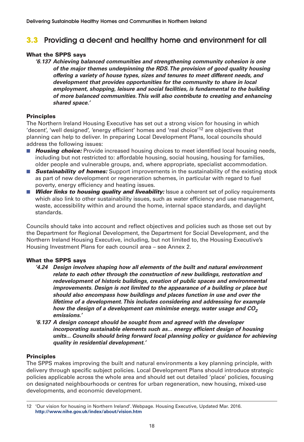#### **3.3 Providing a decent and healthy home and environment for all**

#### **What the SPPS says**

**'6.137 Achieving balanced communities and strengthening community cohesion is one of the major themes underpinning the RDS.The provision of good quality housing offering a variety of house types, sizes and tenures to meet different needs, and development that provides opportunities for the community to share in local employment, shopping, leisure and social facilities, is fundamental to the building of more balanced communities.This will also contribute to creating and enhancing shared space.'**

#### **Principles**

The Northern Ireland Housing Executive has set out a strong vision for housing in which 'decent', 'well designed', 'energy efficient' homes and 'real choice'12 are objectives that planning can help to deliver. In preparing Local Development Plans, local councils should address the following issues:

- **Housing choice:** Provide increased housing choices to meet identified local housing needs, including but not restricted to: affordable housing, social housing, housing for families, older people and vulnerable groups, and, where appropriate, specialist accommodation.
- **Sustainability of homes:** Support improvements in the sustainability of the existing stock as part of new development or regeneration schemes, in particular with regard to fuel poverty, energy efficiency and heating issues.
- **Wider links to housing quality and liveability:** Issue a coherent set of policy requirements which also link to other sustainability issues, such as water efficiency and use management, waste, accessibility within and around the home, internal space standards, and daylight standards.

Councils should take into account and reflect objectives and policies such as those set out by the Department for Regional Development, the Department for Social Development, and the Northern Ireland Housing Executive, including, but not limited to, the Housing Executive's Housing Investment Plans for each council area – see Annex 2.

#### **What the SPPS says**

- **'4.24 Design involves shaping how all elements of the built and natural environment relate to each other through the construction of new buildings, restoration and redevelopment of historic buildings, creation of public spaces and environmental improvements. Design is not limited to the appearance of a building or place but should also encompass how buildings and places function in use and over the lifetime of a development.This includes considering and addressing for example how the design of a development can minimise energy, water usage and CO<sup>2</sup> emissions.'**
- **'6.137 A design concept should be sought from and agreed with the developer incorporating sustainable elements such as... energy efficient design of housing units... Councils should bring forward local planning policy or guidance for achieving quality in residential development.'**

#### **Principles**

The SPPS makes improving the built and natural environments a key planning principle, with delivery through specific subject policies. Local Development Plans should introduce strategic policies applicable across the whole area and should set out detailed 'place' policies, focusing on designated neighbourhoods or centres for urban regeneration, new housing, mixed-use developments, and economic development.

<sup>12 &#</sup>x27;Our vision for housing in Northern Ireland'. Webpage. Housing Executive, Updated Mar. 2016. **http://www.nihe.gov.uk/index/about/vision.htm**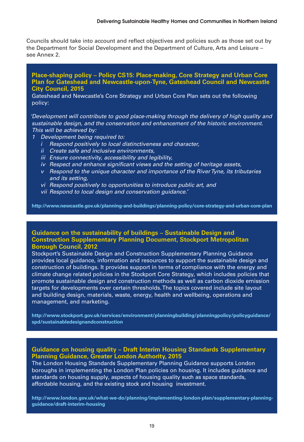Councils should take into account and reflect objectives and policies such as those set out by the Department for Social Development and the Department of Culture, Arts and Leisure – see Annex 2.

#### **Place-shaping policy – Policy CS15: Place-making, Core Strategy and Urban Core Plan for Gateshead and Newcastle-upon-Tyne, Gateshead Council and Newcastle City Council, 2015**

Gateshead and Newcastle's Core Strategy and Urban Core Plan sets out the following policy:

'Development will contribute to good place-making through the delivery of high quality and sustainable design, and the conservation and enhancement of the historic environment. This will be achieved by:

- 1 Development being required to:
	- i Respond positively to local distinctiveness and character,
	- ii Create safe and inclusive environments,
	- iii Ensure connectivity, accessibility and legibility,
	- iv Respect and enhance significant views and the setting of heritage assets,
	- <sup>v</sup> Respond to the unique character and importance of the River Tyne, its tributaries and its setting,
	- vi Respond positively to opportunities to introduce public art, and
	- vii Respond to local design and conservation guidance.'

**http://www.newcastle.gov.uk/planning-and-buildings/planning-policy/core-strategy-and-urban-core-plan**

#### **Guidance on the sustainability of buildings – Sustainable Design and Construction Supplementary Planning Document, Stockport Metropolitan Borough Council, 2012**

Stockport's Sustainable Design and Construction Supplementary Planning Guidance provides local guidance, information and resources to support the sustainable design and construction of buildings. It provides support in terms of compliance with the energy and climate change related policies in the Stockport Core Strategy, which includes policies that promote sustainable design and construction methods as well as carbon dioxide emission targets for developments over certain thresholds. The topics covered include site layout and building design, materials, waste, energy, health and wellbeing, operations and management, and marketing.

**http://www.stockport.gov.uk/services/environment/planningbuilding/planningpolicy/policyguidance/ spd/sustainabledesignandconstruction**

#### **Guidance on housing quality – Draft Interim Housing Standards Supplementary Planning Guidance, Greater London Authority, 2015**

The London Housing Standards Supplementary Planning Guidance supports London boroughs in implementing the London Plan policies on housing. It includes guidance and standards on housing supply, aspects of housing quality such as space standards, affordable housing, and the existing stock and housing investment.

**http://www.london.gov.uk/what-we-do/planning/implementing-london-plan/supplementary-planningguidance/draft-interim-housing**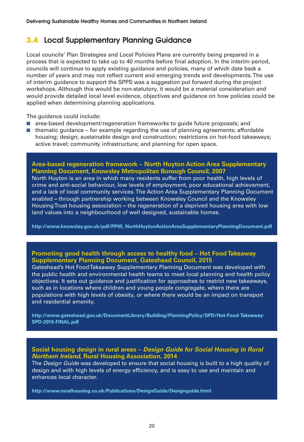#### **3.4 Local Supplementary Planning Guidance**

Local councils' Plan Strategies and Local Policies Plans are currently being prepared in a process that is expected to take up to 40 months before final adoption. In the interim period, councils will continue to apply existing guidance and policies, many of which date back a number of years and may not reflect current and emerging trends and developments. The use of interim guidance to support the SPPS was a suggestion put forward during the project workshops. Although this would be non-statutory, it would be a material consideration and would provide detailed local level evidence, objectives and guidance on how policies could be applied when determining planning applications.

The quidance could include:

- area-based development/regeneration frameworks to quide future proposals; and
- thematic guidance  $-$  for example regarding the use of planning agreements; affordable housing; design; sustainable design and construction; restrictions on hot-food takeaways; active travel; community infrastructure; and planning for open space.

#### **Area-based regeneration framework – North Huyton Action Area Supplementary Planning Document, Knowsley Metropolitan Borough Council, 2007**

North Huyton is an area in which many residents suffer from poor health, high levels of crime and anti-social behaviour, low levels of employment, poor educational achievement, and a lack of local community services. The Action Area Supplementary Planning Document enabled **–** through partnership working between Knowsley Council and the Knowsley Housing Trust housing association **–** the regeneration of a deprived housing area with low land values into a neighbourhood of well designed, sustainable homes.

**http://www.knowsley.gov.uk/pdf/PP05\_NorthHuytonActionAreaSupplementaryPlanningDocument.pdf**

#### **Promoting good health through access to healthy food – Hot Food Takeaway Supplementary Planning Document, Gateshead Council, 2015**

Gateshead's Hot Food Takeaway Supplementary Planning Document was developed with the public health and environmental health teams to meet local planning and health policy objectives. It sets out guidance and justification for approaches to restrict new takeaways, such as in locations where children and young people congregate, where there are populations with high levels of obesity, or where there would be an impact on transport and residential amenity.

**http://www.gateshead.gov.uk/DocumentLibrary/Building/PlanningPolicy/SPD/Hot-Food-Takeaway-SPD-2015-FINAL.pdf** 

#### **Social housing design in rural areas – Design Guide for Social Housing in Rural Northern Ireland, Rural Housing Association, 2014**

The *Design Guide* was developed to ensure that social housing is built to a high quality of design and with high levels of energy efficiency, and is easy to use and maintain and enhances local character.

**http://www.ruralhousing.co.uk/Publications/DesignGuide/Designguide.html**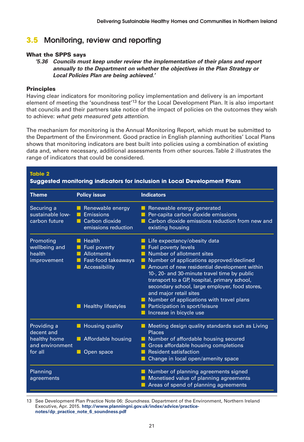#### **3.5 Monitoring, review and reporting**

#### **What the SPPS says**

**'5.36 Councils must keep under review the implementation of their plans and report annually to the Department on whether the objectives in the Plan Strategy or Local Policies Plan are being achieved.'**

#### **Principles**

Having clear indicators for monitoring policy implementation and delivery is an important element of meeting the 'soundness test'13 for the Local Development Plan. It is also important that councils and their partners take notice of the impact of policies on the outcomes they wish to achieve: what gets measured gets attention.

The mechanism for monitoring is the Annual Monitoring Report, which must be submitted to the Department of the Environment. Good practice in English planning authorities' Local Plans shows that monitoring indicators are best built into policies using a combination of existing data and, where necessary, additional assessments from other sources. Table 2 illustrates the range of indicators that could be considered.

| <b>Table 2</b><br><b>Suggested monitoring indicators for inclusion in Local Development Plans</b> |                                                                                                                             |                                                                                                                                                                                                                                                                                                                                                                                                                                                                                  |  |
|---------------------------------------------------------------------------------------------------|-----------------------------------------------------------------------------------------------------------------------------|----------------------------------------------------------------------------------------------------------------------------------------------------------------------------------------------------------------------------------------------------------------------------------------------------------------------------------------------------------------------------------------------------------------------------------------------------------------------------------|--|
| <b>Theme</b>                                                                                      | <b>Policy issue</b>                                                                                                         | <b>Indicators</b>                                                                                                                                                                                                                                                                                                                                                                                                                                                                |  |
| Securing a<br>sustainable low-<br>carbon future                                                   | Renewable energy<br>Emissions<br>Carbon dioxide<br>. .<br>emissions reduction                                               | Renewable energy generated<br>Per-capita carbon dioxide emissions<br>Carbon dioxide emissions reduction from new and<br>existing housing                                                                                                                                                                                                                                                                                                                                         |  |
| Promoting<br>wellbeing and<br>health<br>improvement                                               | Health<br>n.<br>Fuel poverty<br><b>Allotments</b><br>Fast-food takeaways<br>Accessibility<br><b>Healthy lifestyles</b><br>ш | $\blacksquare$ Life expectancy/obesity data<br>Fuel poverty levels<br>Number of allotment sites<br>Number of applications approved/declined<br>Amount of new residential development within<br>10-, 20- and 30-minute travel time by public<br>transport to a GP, hospital, primary school,<br>secondary school, large employer, food stores,<br>and major retail sites<br>Number of applications with travel plans<br>Participation in sport/leisure<br>Increase in bicycle use |  |
| Providing a<br>decent and<br>healthy home<br>and environment<br>for all                           | <b>Housing quality</b><br>ш<br>Affordable housing<br>Open space                                                             | Meeting design quality standards such as Living<br><b>Places</b><br>Number of affordable housing secured<br>Gross affordable housing completions<br><b>Resident satisfaction</b><br>Change in local open/amenity space                                                                                                                                                                                                                                                           |  |
| Planning<br>agreements                                                                            |                                                                                                                             | Number of planning agreements signed<br>Monetised value of planning agreements<br>Areas of spend of planning agreements                                                                                                                                                                                                                                                                                                                                                          |  |

13 See Development Plan Practice Note 06: Soundness. Department of the Environment, Northern Ireland Executive, Apr. 2015. **http://www.planningni.gov.uk/index/advice/practicenotes/dp\_practice\_note\_6\_soundness.pdf**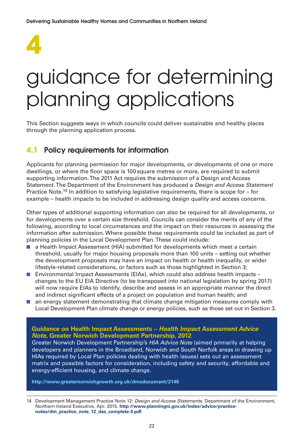

### guidance for determining planning applications

This Section suggests ways in which councils could deliver sustainable and healthy places through the planning application process.

#### **4.1 Policy requirements for information**

Applicants for planning permission for major developments, or developments of one or more dwellings, or where the floor space is 100 square metres or more, are required to submit supporting information. The 2011 Act requires the submission of a Design and Access Statement. The Department of the Environment has produced a Design and Access Statement Practice Note.<sup>14</sup> In addition to satisfying legislative requirements, there is scope for – for example – health impacts to be included in addressing design quality and access concerns.

Other types of additional supporting information can also be required for all developments, or for developments over a certain size threshold. Councils can consider the merits of any of the following, according to local circumstances and the impact on their resources in assessing the information after submission. Where possible these requirements could be included as part of planning policies in the Local Development Plan. These could include:

- a Health Impact Assessment (HIA) submitted for developments which meet a certain threshold, usually for major housing proposals more than 100 units – setting out whether the development proposals may have an impact on health or health inequality, or wider lifestyle-related considerations, or factors such as those highlighted in Section 3;
- Environmental Impact Assessments (EIAs), which could also address health impacts changes to the EU EIA Directive (to be transposed into national legislation by spring 2017) will now require EIAs to identify, describe and assess in an appropriate manner the direct and indirect significant effects of a project on population and human health; and
- an energy statement demonstrating that climate change mitigation measures comply with Local Development Plan climate change or energy policies, such as those set out in Section 3.

#### **Guidance on Health Impact Assessments – Health Impact Assessment Advice Note, Greater Norwich Development Partnership, 2012**

Greater Norwich Development Partnership's HIA Advice Note (aimed primarily at helping developers and planners in the Broadland, Norwich and South Norfolk areas in drawing up HIAs required by Local Plan policies dealing with health issues) sets out an assessment matrix and possible factors for consideration, including safety and security, affordable and energy-efficient housing, and climate change.

**http://www.greaternorwichgrowth.org.uk/dmsdocument/2146**

<sup>14</sup> Development Management Practice Note 12: Design and Access Statements. Department of the Environment, Northern Ireland Executive, Apr. 2015. **http://www.planningni.gov.uk/index/advice/practicenotes/dm\_practice\_note\_12\_das\_complete-3.pdf**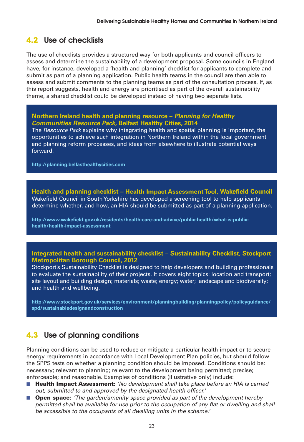#### **4.2 Use of checklists**

The use of checklists provides a structured way for both applicants and council officers to assess and determine the sustainability of a development proposal. Some councils in England have, for instance, developed a 'health and planning' checklist for applicants to complete and submit as part of a planning application. Public health teams in the council are then able to assess and submit comments to the planning teams as part of the consultation process. If, as this report suggests, health and energy are prioritised as part of the overall sustainability theme, a shared checklist could be developed instead of having two separate lists.

#### **Northern Ireland health and planning resource – Planning for Healthy Communities Resource Pack, Belfast Healthy Cities, 2014**

The Resource Pack explains why integrating health and spatial planning is important, the opportunities to achieve such integration in Northern Ireland within the local government and planning reform processes, and ideas from elsewhere to illustrate potential ways forward.

**http://planning.belfasthealthycities.com**

**Health and planning checklist – Health Impact Assessment Tool, Wakefield Council** Wakefield Council in South Yorkshire has developed a screening tool to help applicants determine whether, and how, an HIA should be submitted as part of a planning application.

**http://www.wakefield.gov.uk/residents/health-care-and-advice/public-health/what-is-publichealth/health-impact-assessment**

#### **Integrated health and sustainability checklist – Sustainability Checklist, Stockport Metropolitan Borough Council, 2012**

Stockport's Sustainability Checklist is designed to help developers and building professionals to evaluate the sustainability of their projects. It covers eight topics: location and transport; site layout and building design; materials; waste; energy; water; landscape and biodiversity; and health and wellbeing.

**http://www.stockport.gov.uk/services/environment/planningbuilding/planningpolicy/policyguidance/ spd/sustainabledesignandconstruction**

#### **4.3 Use of planning conditions**

Planning conditions can be used to reduce or mitigate a particular health impact or to secure energy requirements in accordance with Local Development Plan policies, but should follow the SPPS tests on whether a planning condition should be imposed. Conditions should be: necessary; relevant to planning; relevant to the development being permitted; precise; enforceable; and reasonable. Examples of conditions (illustrative only) include:

- **Health Impact Assessment:** 'No development shall take place before an HIA is carried out, submitted to and approved by the designated health officer.'
- **Open space:** 'The garden/amenity space provided as part of the development hereby permitted shall be available for use prior to the occupation of any flat or dwelling and shall be accessible to the occupants of all dwelling units in the scheme.'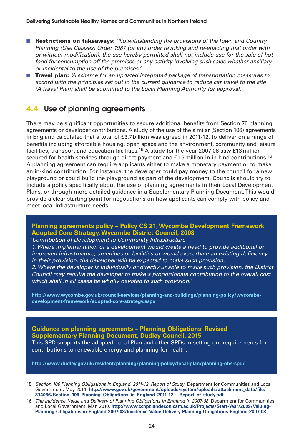- **Restrictions on takeaways:** 'Notwithstanding the provisions of the Town and Country Planning (Use Classes) Order 1987 (or any order revoking and re-enacting that order with or without modification), the use hereby permitted shall not include use for the sale of hot food for consumption off the premises or any activity involving such sales whether ancillary or incidental to the use of the premises.'
- **Travel plan:** A scheme for an updated integrated package of transportation measures to accord with the principles set out in the current guidance to reduce car travel to the site (A Travel Plan) shall be submitted to the Local Planning Authority for approval.'

#### **4.4 Use of planning agreements**

There may be significant opportunities to secure additional benefits from Section 76 planning agreements or developer contributions. A study of the use of the similar (Section 106) agreements in England calculated that a total of £3.7billion was agreed in 2011-12, to deliver on a range of benefits including affordable housing, open space and the environment, community and leisure facilities, transport and education facilities.15 A study for the year 2007-08 saw £13 million secured for health services through direct payment and  $£1.5$  million in in-kind contributions.<sup>16</sup> A planning agreement can require applicants either to make a monetary payment or to make an in-kind contribution. For instance, the developer could pay money to the council for a new playground or could build the playground as part of the development. Councils should try to include a policy specifically about the use of planning agreements in their Local Development Plans, or through more detailed guidance in a Supplementary Planning Document. This would provide a clear starting point for negotiations on how applicants can comply with policy and meet local infrastructure needs.

#### **Planning agreements policy – Policy CS 21, Wycombe Development Framework Adopted Core Strategy, Wycombe District Council, 2008**

'Contribution of Development to Community Infrastructure 1. Where implementation of a development would create a need to provide additional or improved infrastructure, amenities or facilities or would exacerbate an existing deficiency in their provision, the developer will be expected to make such provision. 2. Where the developer is individually or directly unable to make such provision, the District Council may require the developer to make a proportionate contribution to the overall cost which shall in all cases be wholly devoted to such provision.'

**http://www.wycombe.gov.uk/council-services/planning-and-buildings/planning-policy/wycombedevelopment-framework/adopted-core-strategy.aspx**

**Guidance on planning agreements – Planning Obligations: Revised Supplementary Planning Document, Dudley Council, 2015** This SPD supports the adopted Local Plan and other SPDs in setting out requirements for contributions to renewable energy and planning for health.

**http://www.dudley.gov.uk/resident/planning/planning-policy/local-plan/planning-obs-spd/**

15 Section 106 Planning Obligations in England, 2011-12. Report of Study. Department for Communities and Local Government, May 2014. **http://www.gov.uk/government/uploads/system/uploads/attachment\_data/file/ 314066/Section\_106\_Planning\_Obligations\_in\_England\_2011-12\_-\_Report\_of\_study.pdf**

16 The Incidence, Value and Delivery of Planning Obligations in England in 2007-08. Department for Communities and Local Government, Mar. 2010. **http://www.cchpr.landecon.cam.ac.uk/Projects/Start-Year/2009/Valuing-Planning-Obligations-in-England-2007-08/Incidence-Value-Delivery-Planning-Obligations-England-2007-08**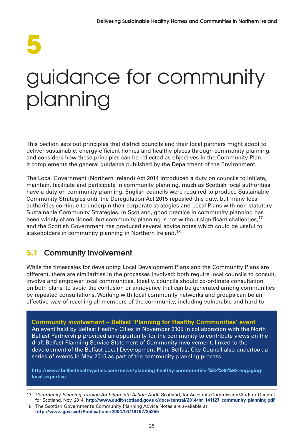# **5**

### guidance for community planning

This Section sets out principles that district councils and their local partners might adopt to deliver sustainable, energy-efficient homes and healthy places through community planning, and considers how these principles can be reflected as objectives in the Community Plan. It complements the general guidance published by the Department of the Environment.

The Local Government (Northern Ireland) Act 2014 introduced a duty on councils to initiate, maintain, facilitate and participate in community planning, much as Scottish local authorities have a duty on community planning. English councils were required to produce Sustainable Community Strategies until the Deregulation Act 2015 repealed this duty, but many local authorities continue to underpin their corporate strategies and Local Plans with non-statutory Sustainable Community Strategies. In Scotland, good practice in community planning has been widely championed, but community planning is not without significant challenges,<sup>17</sup> and the Scottish Government has produced several advice notes which could be useful to stakeholders in community planning in Northern Ireland.<sup>18</sup>

#### **5.1 Community involvement**

While the timescales for developing Local Development Plans and the Community Plans are different, there are similarities in the processes involved: both require local councils to consult, involve and empower local communities. Ideally, councils should co-ordinate consultation on both plans, to avoid the confusion or annoyance that can be generated among communities by repeated consultations. Working with local community networks and groups can be an effective way of reaching all members of the community, including vulnerable and hard-to-

**Community involvement – Belfast 'Planning for Healthy Communities' event** An event held by Belfast Healthy Cities in November 2105 in collaboration with the North Belfast Partnership provided an opportunity for the community to contribute views on the draft Belfast Planning Service Statement of Community Involvement, linked to the development of the Belfast Local Development Plan. Belfast City Council also undertook a series of events in May 2015 as part of the community planning process.

**http://www.belfasthealthycities.com/news/planning-healthy-communities-%E2%80%93-engaginglocal-expertise**

<sup>17</sup> Community Planning. Turning Ambition into Action. Audit Scotland, for Accounts Commission/Auditor General for Scotland. Nov. 2014. **http://www.audit-scotland.gov.uk/docs/central/2014/nr\_141127\_community\_planning.pdf**

<sup>18</sup> The Scottish Government's Community Planning Advice Notes are available at **http://www.gov.scot/Publications/2004/04/19167/35255**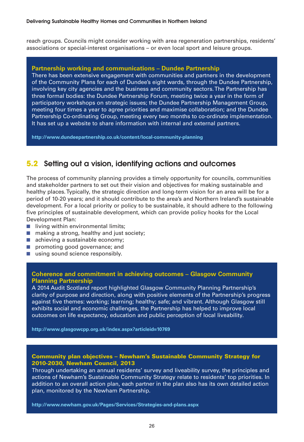reach groups. Councils might consider working with area regeneration partnerships, residents' associations or special-interest organisations – or even local sport and leisure groups.

#### **Partnership working and communications – Dundee Partnership**

There has been extensive engagement with communities and partners in the development of the Community Plans for each of Dundee's eight wards, through the Dundee Partnership, involving key city agencies and the business and community sectors. The Partnership has three formal bodies: the Dundee Partnership Forum, meeting twice a year in the form of participatory workshops on strategic issues; the Dundee Partnership Management Group, meeting four times a year to agree priorities and maximise collaboration; and the Dundee Partnership Co-ordinating Group, meeting every two months to co-ordinate implementation. It has set up a website to share information with internal and external partners.

**http://www.dundeepartnership.co.uk/content/local-community-planning**

#### **5.2 Setting out a vision, identifying actions and outcomes**

The process of community planning provides a timely opportunity for councils, communities and stakeholder partners to set out their vision and objectives for making sustainable and healthy places. Typically, the strategic direction and long-term vision for an area will be for a period of 10-20 years; and it should contribute to the area's and Northern Ireland's sustainable development. For a local priority or policy to be sustainable, it should adhere to the following five principles of sustainable development, which can provide policy hooks for the Local Development Plan:

- living within environmental limits;
- making a strong, healthy and just society;
- achieving a sustainable economy:
- promoting good governance; and
- using sound science responsibly.

#### **Coherence and commitment in achieving outcomes – Glasgow Community Planning Partnership**

A 2014 Audit Scotland report highlighted Glasgow Community Planning Partnership's clarity of purpose and direction, along with positive elements of the Partnership's progress against five themes: working; learning; healthy; safe; and vibrant. Although Glasgow still exhibits social and economic challenges, the Partnership has helped to improve local outcomes on life expectancy, education and public perception of local liveability.

**http://www.glasgowcpp.org.uk/index.aspx?articleid=10769**

#### **Community plan objectives – Newham's Sustainable Community Strategy for 2010-2030, Newham Council, 2013**

Through undertaking an annual residents' survey and liveability survey, the principles and actions of Newham's Sustainable Community Strategy relate to residents' top priorities. In addition to an overall action plan, each partner in the plan also has its own detailed action plan, monitored by the Newham Partnership.

**http://www.newham.gov.uk/Pages/Services/Strategies-and-plans.aspx**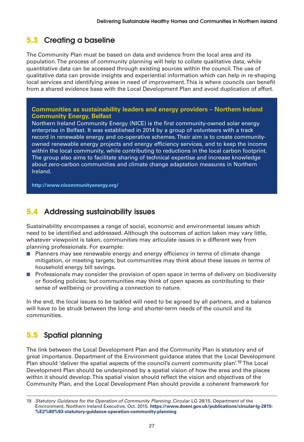#### **5.3 Creating a baseline**

The Community Plan must be based on data and evidence from the local area and its population. The process of community planning will help to collate qualitative data, while quantitative data can be accessed through existing sources within the council. The use of qualitative data can provide insights and experiential information which can help in re-shaping local services and identifying areas in need of improvement. This is where councils can benefit from a shared evidence base with the Local Development Plan and avoid duplication of effort.

#### **Communities as sustainability leaders and energy providers – Northern Ireland Community Energy, Belfast**

Northern Ireland Community Energy (NICE) is the first community-owned solar energy enterprise in Belfast. It was established in 2014 by a group of volunteers with a track record in renewable energy and co-operative schemes. Their aim is to create communityowned renewable energy projects and energy efficiency services, and to keep the income within the local community, while contributing to reductions in the local carbon footprint. The group also aims to facilitate sharing of technical expertise and increase knowledge about zero-carbon communities and climate change adaptation measures in Northern Ireland.

**http://www.nicommunityenergy.org/**

#### **5.4 Addressing sustainability issues**

Sustainability encompasses a range of social, economic and environmental issues which need to be identified and addressed. Although the outcomes of action taken may vary little, whatever viewpoint is taken, communities may articulate issues in a different way from planning professionals. For example:

- Planners may see renewable energy and energy efficiency in terms of climate change mitigation, or meeting targets; but communities may think about these issues in terms of household energy bill savings.
- Professionals may consider the provision of open space in terms of delivery on biodiversity or flooding policies; but communities may think of open spaces as contributing to their sense of wellbeing or providing a connection to nature.

In the end, the local issues to be tackled will need to be agreed by all partners, and a balance will have to be struck between the long- and shorter-term needs of the council and its communities.

#### **5.5 Spatial planning**

The link between the Local Development Plan and the Community Plan is statutory and of great importance. Department of the Environment guidance states that the Local Development Plan should 'deliver the spatial aspects of the council's current community plan'.<sup>19</sup> The Local Development Plan should be underpinned by a spatial vision of how the area and the places within it should develop. This spatial vision should reflect the vision and objectives of the Community Plan, and the Local Development Plan should provide a coherent framework for

<sup>19</sup> Statutory Guidance for the Operation of Community Planning. Circular LG 28/15. Department of the Environment, Northern Ireland Executive, Oct. 2015. **https://www.doeni.gov.uk/publications/circular-lg-2815- %E2%80%93-statutory-guidance-operation-community-planning**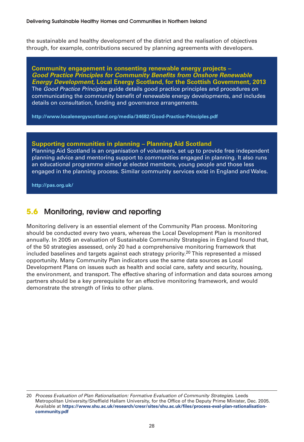the sustainable and healthy development of the district and the realisation of objectives through, for example, contributions secured by planning agreements with developers.

**Community engagement in consenting renewable energy projects – Good Practice Principles for Community Benefits from Onshore Renewable Energy Development, Local Energy Scotland, for the Scottish Government, 2013** The Good Practice Principles guide details good practice principles and procedures on communicating the community benefit of renewable energy developments, and includes details on consultation, funding and governance arrangements.

**http://www.localenergyscotland.org/media/34682/Good-Practice-Principles.pdf**

#### **Supporting communities in planning – Planning Aid Scotland**

Planning Aid Scotland is an organisation of volunteers, set up to provide free independent planning advice and mentoring support to communities engaged in planning. It also runs an educational programme aimed at elected members, young people and those less engaged in the planning process. Similar community services exist in England and Wales.

**http://pas.org.uk/**

#### **5.6 Monitoring, review and reporting**

Monitoring delivery is an essential element of the Community Plan process. Monitoring should be conducted every two years, whereas the Local Development Plan is monitored annually. In 2005 an evaluation of Sustainable Community Strategies in England found that, of the 50 strategies assessed, only 20 had a comprehensive monitoring framework that included baselines and targets against each strategy priority.<sup>20</sup> This represented a missed opportunity. Many Community Plan indicators use the same data sources as Local Development Plans on issues such as health and social care, safety and security, housing, the environment, and transport. The effective sharing of information and data sources among partners should be a key prerequisite for an effective monitoring framework, and would demonstrate the strength of links to other plans.

<sup>20</sup> Process Evaluation of Plan Rationalisation: Formative Evaluation of Community Strategies. Leeds Metropolitan University/Sheffield Hallam University, for the Office of the Deputy Prime Minister, Dec. 2005. Available at **https://www.shu.ac.uk/research/cresr/sites/shu.ac.uk/files/process-eval-plan-rationalisationcommunity.pdf**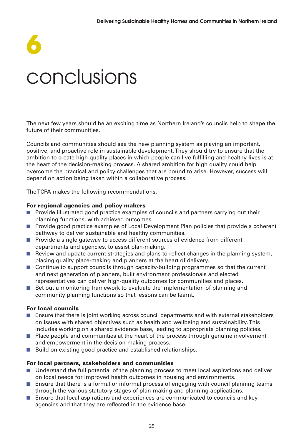# **6** conclusions

The next few years should be an exciting time as Northern Ireland's councils help to shape the future of their communities.

Councils and communities should see the new planning system as playing an important, positive, and proactive role in sustainable development. They should try to ensure that the ambition to create high-quality places in which people can live fulfilling and healthy lives is at the heart of the decision-making process. A shared ambition for high quality could help overcome the practical and policy challenges that are bound to arise. However, success will depend on action being taken within a collaborative process.

The TCPA makes the following recommendations.

#### **For regional agencies and policy-makers**

- Provide illustrated good practice examples of councils and partners carrying out their planning functions, with achieved outcomes.
- Provide good practice examples of Local Development Plan policies that provide a coherent pathway to deliver sustainable and healthy communities.
- Provide a single gateway to access different sources of evidence from different departments and agencies, to assist plan-making.
- Review and update current strategies and plans to reflect changes in the planning system, placing quality place-making and planners at the heart of delivery.
- Continue to support councils through capacity-building programmes so that the current and next generation of planners, built environment professionals and elected representatives can deliver high-quality outcomes for communities and places.
- Set out a monitoring framework to evaluate the implementation of planning and community planning functions so that lessons can be learnt.

#### **For local councils**

- Ensure that there is joint working across council departments and with external stakeholders on issues with shared objectives such as health and wellbeing and sustainability. This includes working on a shared evidence base, leading to appropriate planning policies.
- Place people and communities at the heart of the process through genuine involvement and empowerment in the decision-making process.
- Build on existing good practice and established relationships.

#### **For local partners, stakeholders and communities**

- Understand the full potential of the planning process to meet local aspirations and deliver on local needs for improved health outcomes in housing and environments.
- Ensure that there is a formal or informal process of engaging with council planning teams through the various statutory stages of plan-making and planning applications.
- Ensure that local aspirations and experiences are communicated to councils and key agencies and that they are reflected in the evidence base.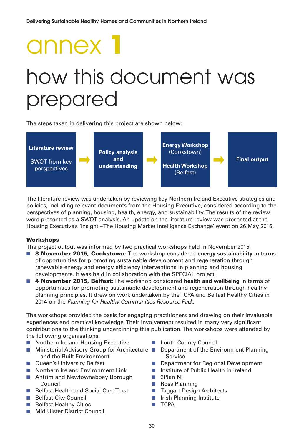# annex **1** how this document was prepared

The steps taken in delivering this project are shown below:



The literature review was undertaken by reviewing key Northern Ireland Executive strategies and policies, including relevant documents from the Housing Executive, considered according to the perspectives of planning, housing, health, energy, and sustainability. The results of the review were presented as a SWOT analysis. An update on the literature review was presented at the Housing Executive's 'Insight – The Housing Market Intelligence Exchange' event on 26 May 2015.

#### **Workshops**

The project output was informed by two practical workshops held in November 2015:

- **3 November 2015, Cookstown:** The workshop considered **energy sustainability** in terms of opportunities for promoting sustainable development and regeneration through renewable energy and energy efficiency interventions in planning and housing developments. It was held in collaboration with the SPECIAL project.
- 4 November 2015, Belfast: The workshop considered health and wellbeing in terms of opportunities for promoting sustainable development and regeneration through healthy planning principles. It drew on work undertaken by the TCPA and Belfast Healthy Cities in 2014 on the Planning for Healthy Communities Resource Pack.

The workshops provided the basis for engaging practitioners and drawing on their invaluable experiences and practical knowledge. Their involvement resulted in many very significant contributions to the thinking underpinning this publication. The workshops were attended by the following organisations:

- Northern Ireland Housing Executive
- Ministerial Advisory Group for Architecture Department of the Environment Planning and the Built Environment
- Queen's University Belfast
- Northern Ireland Environment Link
- Antrim and Newtownabbey Borough Council
- Belfast Health and Social Care Trust
- Belfast City Council
- Belfast Healthy Cities
- Mid Ulster District Council
- Louth County Council
	- Service
- Department for Regional Development
- Institute of Public Health in Ireland
- 2Plan NI
- Ross Planning
- Taggart Design Architects
- Irish Planning Institute
- TCPA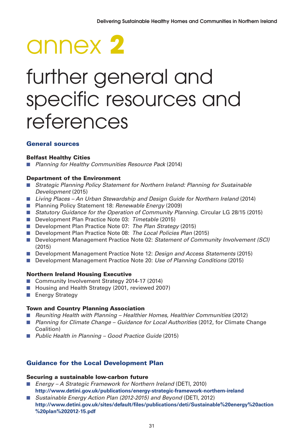# annex **2**

### further general and specific resources and references

#### **General sources**

#### **Belfast Healthy Cities**

■ Planning for Healthy Communities Resource Pack (2014)

#### **Department of the Environment**

- Strategic Planning Policy Statement for Northern Ireland: Planning for Sustainable Development (2015)
- Living Places An Urban Stewardship and Design Guide for Northern Ireland (2014)
- Planning Policy Statement 18: Renewable Energy (2009)
- Statutory Guidance for the Operation of Community Planning. Circular LG 28/15 (2015)
- Development Plan Practice Note 03: Timetable (2015)
- Development Plan Practice Note 07: The Plan Strategy (2015)
- Development Plan Practice Note 08: The Local Policies Plan (2015)
- Development Management Practice Note 02: Statement of Community Involvement (SCI) (2015)
- Development Management Practice Note 12: Design and Access Statements (2015)
- Development Management Practice Note 20: Use of Planning Conditions (2015)

#### **Northern Ireland Housing Executive**

- Community Involvement Strategy 2014-17 (2014)
- Housing and Health Strategy (2001, reviewed 2007)
- Energy Strategy

#### **Town and Country Planning Association**

- Reuniting Health with Planning Healthier Homes, Healthier Communities (2012)
- Planning for Climate Change Guidance for Local Authorities (2012, for Climate Change Coalition)
- Public Health in Planning Good Practice Guide (2015)

#### **Guidance for the Local Development Plan**

#### **Securing a sustainable low-carbon future**

- Energy A Strategic Framework for Northern Ireland (DETI, 2010) **http://www.detini.gov.uk/publications/energy-strategic-framework-northern-ireland**
- Sustainable Energy Action Plan (2012-2015) and Beyond (DETI, 2012) **http://www.detini.gov.uk/sites/default/files/publications/deti/Sustainable%20energy%20action %20plan%202012-15.pdf**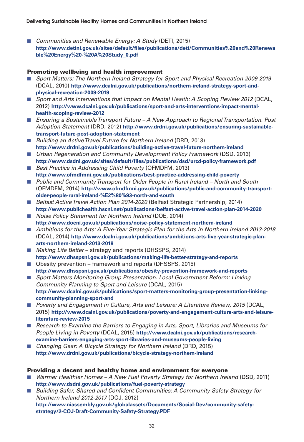■ Communities and Renewable Energy: A Study (DETI, 2015) **http://www.detini.gov.uk/sites/default/files/publications/deti/Communities%20and%20Renewa ble%20Energy%20-%20A%20Study\_0.pdf**

#### **Promoting wellbeing and health improvement**

- Sport Matters: The Northern Ireland Strategy for Sport and Physical Recreation 2009-2019 (DCAL, 2010) **http://www.dcalni.gov.uk/publications/northern-ireland-strategy-sport-andphysical-recreation-2009-2019**
- Sport and Arts Interventions that Impact on Mental Health: A Scoping Review 2012 (DCAL, 2012) **http://www.dcalni.gov.uk/publications/sport-and-arts-interventions-impact-mentalhealth-scoping-review-2012**
- Ensuring a Sustainable Transport Future A New Approach to Regional Transportation. Post Adoption Statement (DRD, 2012) **http://www.drdni.gov.uk/publications/ensuring-sustainabletransport-future-post-adoption-statement**
- Building an Active Travel Future for Northern Ireland (DRD, 2013) **http://www.drdni.gov.uk/publications/building-active-travel-future-northern-ireland**
- Urban Regeneration and Community Development Policy Framework (DSD, 2013) **http://www.dsdni.gov.uk/sites/default/files/publications/dsd/urcd-policy-framework.pdf**
- Best Practice in Addressing Child Poverty (OFMDFM, 2013) **http://www.ofmdfmni.gov.uk/publications/best-practice-addressing-child-poverty**
- Public and Community Transport for Older People in Rural Ireland North and South (OFMDFM, 2014) **http://www.ofmdfmni.gov.uk/publications/public-and-community-transportolder-people-rural-ireland-%E2%80%93-north-and-south**
- Belfast Active Travel Action Plan 2014-2020 (Belfast Strategic Partnership, 2014) **http://www.publichealth.hscni.net/publications/belfast-active-travel-action-plan-2014-2020**
- Noise Policy Statement for Northern Ireland (DOE, 2014) **http://www.doeni.gov.uk/publications/noise-policy-statement-northern-ireland**
- Ambitions for the Arts: A Five-Year Strategic Plan for the Arts in Northern Ireland 2013-2018 (DCAL, 2014) **http://www.dcalni.gov.uk/publications/ambitions-arts-five-year-strategic-planarts-northern-ireland-2013-2018**
- *Making Life Better* strategy and reports (DHSSPS, 2014) **http://www.dhsspsni.gov.uk/publications/making-life-better-strategy-and-reports**
- Obesity prevention framework and reports (DHSSPS, 2015) **http://www.dhsspsni.gov.uk/publications/obesity-prevention-framework-and-reports**
- Sport Matters Monitoring Group Presentation. Local Government Reform: Linking Community Planning to Sport and Leisure (DCAL, 2015) **http://www.dcalni.gov.uk/publications/sport-matters-monitoring-group-presentation-linkingcommunity-planning-sport-and**
- Poverty and Engagement in Culture, Arts and Leisure: A Literature Review, 2015 (DCAL, 2015) **http://www.dcalni.gov.uk/publications/poverty-and-engagement-culture-arts-and-leisureliterature-review-2015**
- Research to Examine the Barriers to Engaging in Arts, Sport, Libraries and Museums for People Living in Poverty (DCAL, 2015) **http://www.dcalni.gov.uk/publications/researchexamine-barriers-engaging-arts-sport-libraries-and-museums-people-living**
- Changing Gear: A Bicycle Strategy for Northern Ireland (DRD, 2015) **http://www.drdni.gov.uk/publications/bicycle-strategy-northern-ireland**

#### **Providing a decent and healthy home and environment for everyone**

- Warmer Healthier Homes A New Fuel Poverty Strategy for Northern Ireland (DSD, 2011) **http://www.dsdni.gov.uk/publications/fuel-poverty-strategy**
- Building Safer, Shared and Confident Communities: A Community Safety Strategy for Northern Ireland 2012-2017 (DOJ, 2012)

**http://www.niassembly.gov.uk/globalassets/Documents/Social-Dev/community-safetystrategy/2-COJ-Draft-Community-Safety-Strategy.PDF**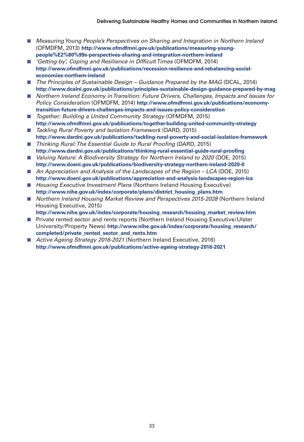- Measuring Young People's Perspectives on Sharing and Integration in Northern Ireland (OFMDFM, 2013) **http://www.ofmdfmni.gov.uk/publications/measuring-youngpeople%E2%80%99s-perspectives-sharing-and-integration-northern-ireland**
- 'Getting-by', Coping and Resilience in Difficult Times (OFMDFM, 2014) **http://www.ofmdfmni.gov.uk/publications/recession-resilience-and-rebalancing-socialeconomies-northern-ireland**
- The Principles of Sustainable Design Guidance Prepared by the MAG (DCAL, 2014) **http://www.dcalni.gov.uk/publications/principles-sustainable-design-guidance-prepared-by-mag**
- Northern Ireland Economy in Transition: Future Drivers, Challenges, Impacts and Issues for Policy Consideration (OFMDFM, 2014) **http://www.ofmdfmni.gov.uk/publications/economytransition-future-drivers-challenges-impacts-and-issues-policy-consideration**
- Together: Building a United Community Strategy (OFMDFM, 2015) **http://www.ofmdfmni.gov.uk/publications/together-building-united-community-strategy**
- Tackling Rural Poverty and Isolation Framework (DARD, 2015) **http://www.dardni.gov.uk/publications/tackling-rural-poverty-and-social-isolation-framework**
- Thinking Rural: The Essential Guide to Rural Proofing (DARD, 2015) **http://www.dardni.gov.uk/publications/thinking-rural-essential-guide-rural-proofing**
- Valuing Nature: A Biodiversity Strategy for Northern Ireland to 2020 (DOE, 2015) **http://www.doeni.gov.uk/publications/biodiversity-strategy-northern-ireland-2020-0**
- An Appreciation and Analysis of the Landscapes of the Region LCA (DOE, 2015) **http://www.doeni.gov.uk/publications/appreciation-and-analysis-landscapes-region-lca**
- Housing Executive Investment Plans (Northern Ireland Housing Executive) **http://www.nihe.gov.uk/index/corporate/plans/district\_housing\_plans.htm**
- Northern Ireland Housing Market Review and Perspectives 2015-2028 (Northern Ireland Housing Executive, 2015)
	- **http://www.nihe.gov.uk/index/corporate/housing\_research/housing\_market\_review.htm**
- Private rented sector and rents reports (Northern Ireland Housing Executive/Ulster University/Property News) **http://www.nihe.gov.uk/index/corporate/housing\_research/ completed/private\_rented\_sector\_and\_rents.htm**
- Active Ageing Strategy 2016-2021 (Northern Ireland Executive, 2016) **http://www.ofmdfmni.gov.uk/publications/active-ageing-strategy-2016-2021**